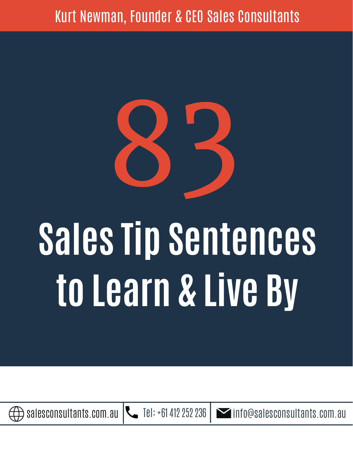## Kurt Newman, Founder & CEO Sales Consultants



## **Sales Tip Sentences to Learn & Live By**



[salesconsultants.com.au](http://salesconsultants.com.au/)  $\sum$  Tel: +61 412 252 236 |  $\sum$  [info@salesconsultants.com.au](http://salesconsultants.com.au/)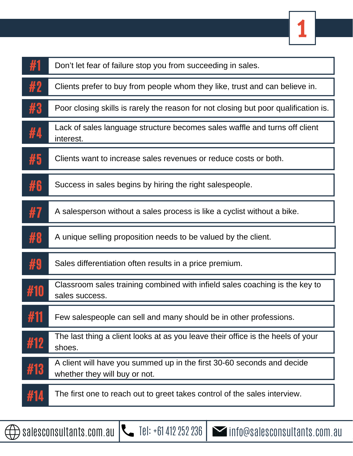

| #1  | Don't let fear of failure stop you from succeeding in sales.                                            |
|-----|---------------------------------------------------------------------------------------------------------|
| #2  | Clients prefer to buy from people whom they like, trust and can believe in.                             |
| #3  | Poor closing skills is rarely the reason for not closing but poor qualification is.                     |
| #4  | Lack of sales language structure becomes sales waffle and turns off client<br>interest.                 |
| #5  | Clients want to increase sales revenues or reduce costs or both.                                        |
| #6  | Success in sales begins by hiring the right salespeople.                                                |
| #7  | A salesperson without a sales process is like a cyclist without a bike.                                 |
| #8  | A unique selling proposition needs to be valued by the client.                                          |
| #9  | Sales differentiation often results in a price premium.                                                 |
| #10 | Classroom sales training combined with infield sales coaching is the key to<br>sales success.           |
| #11 | Few salespeople can sell and many should be in other professions.                                       |
| #12 | The last thing a client looks at as you leave their office is the heels of your<br>shoes.               |
| #13 | A client will have you summed up in the first 30-60 seconds and decide<br>whether they will buy or not. |
| #14 | The first one to reach out to greet takes control of the sales interview.                               |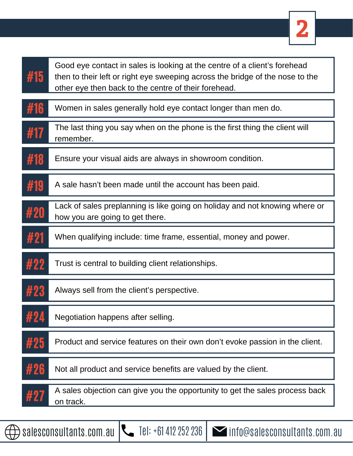| #15          | Good eye contact in sales is looking at the centre of a client's forehead<br>then to their left or right eye sweeping across the bridge of the nose to the<br>other eye then back to the centre of their forehead. |
|--------------|--------------------------------------------------------------------------------------------------------------------------------------------------------------------------------------------------------------------|
| #16          | Women in sales generally hold eye contact longer than men do.                                                                                                                                                      |
| #17          | The last thing you say when on the phone is the first thing the client will<br>remember.                                                                                                                           |
| #18          | Ensure your visual aids are always in showroom condition.                                                                                                                                                          |
| #19          | A sale hasn't been made until the account has been paid.                                                                                                                                                           |
| #20          | Lack of sales preplanning is like going on holiday and not knowing where or<br>how you are going to get there.                                                                                                     |
| #21          | When qualifying include: time frame, essential, money and power.                                                                                                                                                   |
| #22          | Trust is central to building client relationships.                                                                                                                                                                 |
| #23          | Always sell from the client's perspective.                                                                                                                                                                         |
| 40 A<br># 24 | Negotiation happens after selling.                                                                                                                                                                                 |
| #25          | Product and service features on their own don't evoke passion in the client.                                                                                                                                       |
| #26          | Not all product and service benefits are valued by the client.                                                                                                                                                     |
| #27          | A sales objection can give you the opportunity to get the sales process back<br>on track.                                                                                                                          |

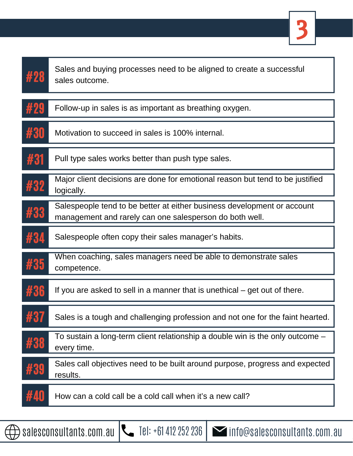| #28                 | Sales and buying processes need to be aligned to create a successful<br>sales outcome.                                             |
|---------------------|------------------------------------------------------------------------------------------------------------------------------------|
| #29                 | Follow-up in sales is as important as breathing oxygen.                                                                            |
| #30                 | Motivation to succeed in sales is 100% internal.                                                                                   |
| #31                 | Pull type sales works better than push type sales.                                                                                 |
| #32                 | Major client decisions are done for emotional reason but tend to be justified<br>logically.                                        |
| #33                 | Salespeople tend to be better at either business development or account<br>management and rarely can one salesperson do both well. |
| #34                 | Salespeople often copy their sales manager's habits.                                                                               |
| #35                 | When coaching, sales managers need be able to demonstrate sales<br>competence.                                                     |
| #36                 | If you are asked to sell in a manner that is unethical – get out of there.                                                         |
| #37<br>$\bm{H}$ v i | Sales is a tough and challenging profession and not one for the faint hearted.                                                     |
| #38                 | To sustain a long-term client relationship a double win is the only outcome -<br>every time.                                       |
| #39                 | Sales call objectives need to be built around purpose, progress and expected<br>results.                                           |
| #40                 | How can a cold call be a cold call when it's a new call?                                                                           |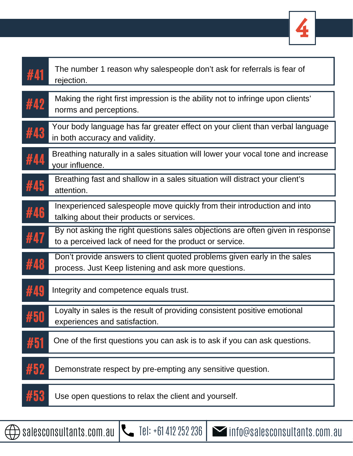

| #41 | The number 1 reason why salespeople don't ask for referrals is fear of<br>rejection.                                                      |
|-----|-------------------------------------------------------------------------------------------------------------------------------------------|
| #42 | Making the right first impression is the ability not to infringe upon clients'<br>norms and perceptions.                                  |
| #43 | Your body language has far greater effect on your client than verbal language<br>in both accuracy and validity.                           |
| #44 | Breathing naturally in a sales situation will lower your vocal tone and increase<br>your influence.                                       |
| #45 | Breathing fast and shallow in a sales situation will distract your client's<br>attention.                                                 |
| #46 | Inexperienced salespeople move quickly from their introduction and into<br>talking about their products or services.                      |
| #47 | By not asking the right questions sales objections are often given in response<br>to a perceived lack of need for the product or service. |
| #48 | Don't provide answers to client quoted problems given early in the sales<br>process. Just Keep listening and ask more questions.          |
| #49 | Integrity and competence equals trust.                                                                                                    |
| #50 | Loyalty in sales is the result of providing consistent positive emotional<br>experiences and satisfaction.                                |
| #51 | One of the first questions you can ask is to ask if you can ask questions.                                                                |
| #52 | Demonstrate respect by pre-empting any sensitive question.                                                                                |
| #53 | Use open questions to relax the client and yourself.                                                                                      |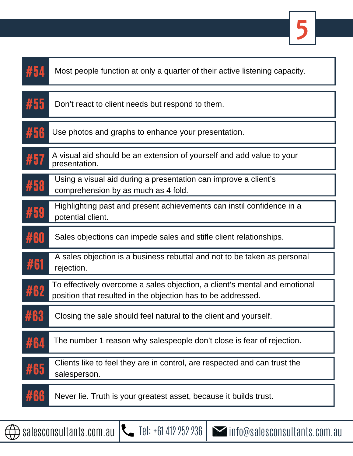| #54 | Most people function at only a quarter of their active listening capacity.                                                                 |
|-----|--------------------------------------------------------------------------------------------------------------------------------------------|
| #55 | Don't react to client needs but respond to them.                                                                                           |
| #56 | Use photos and graphs to enhance your presentation.                                                                                        |
| #57 | A visual aid should be an extension of yourself and add value to your<br>presentation.                                                     |
| #58 | Using a visual aid during a presentation can improve a client's<br>comprehension by as much as 4 fold.                                     |
| #59 | Highlighting past and present achievements can instil confidence in a<br>potential client.                                                 |
| #60 | Sales objections can impede sales and stifle client relationships.                                                                         |
| #61 | A sales objection is a business rebuttal and not to be taken as personal<br>rejection.                                                     |
| #62 | To effectively overcome a sales objection, a client's mental and emotional<br>position that resulted in the objection has to be addressed. |
| #63 | Closing the sale should feel natural to the client and yourself.                                                                           |
| #64 | The number 1 reason why salespeople don't close is fear of rejection.                                                                      |
| #65 | Clients like to feel they are in control, are respected and can trust the<br>salesperson.                                                  |
| #66 | Never lie. Truth is your greatest asset, because it builds trust.                                                                          |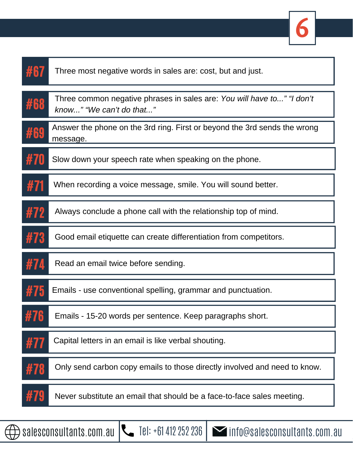

| #67          | Three most negative words in sales are: cost, but and just.                                        |
|--------------|----------------------------------------------------------------------------------------------------|
| #68          | Three common negative phrases in sales are: You will have to" "I don't<br>know" "We can't do that" |
| #69          | Answer the phone on the 3rd ring. First or beyond the 3rd sends the wrong<br>message.              |
| #70          | Slow down your speech rate when speaking on the phone.                                             |
| #71          | When recording a voice message, smile. You will sound better.                                      |
| #72          | Always conclude a phone call with the relationship top of mind.                                    |
| #73          | Good email etiquette can create differentiation from competitors.                                  |
| #74          | Read an email twice before sending.                                                                |
| #75          | Emails - use conventional spelling, grammar and punctuation.                                       |
| W78<br># 1 0 | Emails - 15-20 words per sentence. Keep paragraphs short.                                          |
| #77          | Capital letters in an email is like verbal shouting.                                               |
| #78          | Only send carbon copy emails to those directly involved and need to know.                          |
| #79          | Never substitute an email that should be a face-to-face sales meeting.                             |